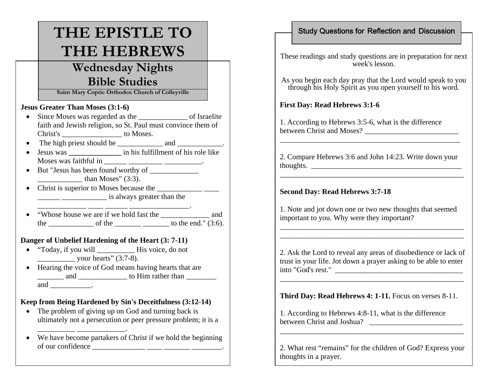# **THE EPISTLE TO THE HEBREWS**

## **Wednesday Nights Bible Studies**

**Saint Mary Coptic Orthodox Church of Colleyville**

#### **Jesus Greater Than Moses (3:1-6)**

- Since Moses was regarded as the of Israelite faith and Jewish religion, so St. Paul must convince them of Christ's \_\_\_\_\_\_\_\_\_\_\_\_\_\_\_\_ to Moses.
- The high priest should be \_\_\_\_\_\_\_\_\_\_\_\_\_ and \_\_\_\_\_\_\_\_\_.
- Jesus was \_\_\_\_\_\_\_\_\_\_\_\_\_\_\_\_\_ in his fulfillment of his role like Moses was faithful in  $\frac{1}{\sqrt{1-\frac{1}{2}}}\frac{1}{\sqrt{1-\frac{1}{2}}}\frac{1}{\sqrt{1-\frac{1}{2}}}\frac{1}{\sqrt{1-\frac{1}{2}}}\frac{1}{\sqrt{1-\frac{1}{2}}}\frac{1}{\sqrt{1-\frac{1}{2}}}\frac{1}{\sqrt{1-\frac{1}{2}}}\frac{1}{\sqrt{1-\frac{1}{2}}}\frac{1}{\sqrt{1-\frac{1}{2}}}\frac{1}{\sqrt{1-\frac{1}{2}}}\frac{1}{\sqrt{1-\frac{1}{2}}}\frac{1}{\sqrt{1-\frac{1}{2}}}\frac{1}{\$
- But "Jesus has been found worthy of than Moses"  $(3:3)$ .

 $\blacksquare$  . The contract of the contract of the contract of the contract of the contract of the contract of the contract of the contract of the contract of the contract of the contract of the contract of the contract of the

• Christ is superior to Moses because the is always greater than the

\_\_\_\_\_\_\_\_\_\_\_\_\_ \_\_\_\_ \_\_\_\_\_\_ \_\_\_\_\_\_\_\_\_\_\_\_\_\_\_\_.

• "Whose house we are if we hold fast the \_\_\_\_\_\_\_\_\_\_\_\_\_ and the \_\_\_\_\_\_\_\_\_\_\_\_\_\_\_ of the \_\_\_\_\_\_\_\_\_\_\_\_\_\_\_\_\_\_\_\_\_ to the end."  $(3:6)$ .

### **Danger of Unbelief Hardening of the Heart (3: 7-11)**

- "Today, if you will His voice, do not  $\frac{1}{2}$  your hearts" (3:7-8).
- Hearing the voice of God means having hearts that are  $\frac{1}{\sqrt{1-\frac{1}{2}}}\$  and  $\frac{1}{\sqrt{1-\frac{1}{2}}}\$  to Him rather than  $\frac{1}{\sqrt{1-\frac{1}{2}}}\$ and  $\_\_\_\_\_\$ .

## **Keep from Being Hardened by Sin's Deceitfulness (3:12-14)**

- The problem of giving up on God and turning back is ultimately not a persecution or peer pressure problem; it is a
- We have become partakers of Christ if we hold the beginning of our confidence  $\frac{1}{\sqrt{1-\frac{1}{2}}\sqrt{1-\frac{1}{2}}\sqrt{1-\frac{1}{2}}\sqrt{1-\frac{1}{2}}\sqrt{1-\frac{1}{2}}\sqrt{1-\frac{1}{2}}\sqrt{1-\frac{1}{2}}\sqrt{1-\frac{1}{2}}\sqrt{1-\frac{1}{2}}\sqrt{1-\frac{1}{2}}\sqrt{1-\frac{1}{2}}\sqrt{1-\frac{1}{2}}\sqrt{1-\frac{1}{2}}\sqrt{1-\frac{1}{2}}\sqrt{1-\frac{1}{2}}\sqrt{1-\frac{1}{2}}\sqrt{1-\frac{1}{2}}\sqrt{1-\frac{1}{2$

## Study Questions for Reflection and Discussion

These readings and study questions are in preparation for next week's lesson.

As you begin each day pray that the Lord would speak to you through his Holy Spirit as you open yourself to his word.

## **First Day: Read Hebrews 3:1-6**

1. According to Hebrews 3:5-6, what is the difference between Christ and Moses? \_\_\_\_\_\_\_\_\_\_\_\_\_\_\_\_\_\_\_\_\_\_\_\_\_

2. Compare Hebrews 3:6 and John 14:23. Write down your thoughts.  $\qquad \qquad$ 

\_\_\_\_\_\_\_\_\_\_\_\_\_\_\_\_\_\_\_\_\_\_\_\_\_\_\_\_\_\_\_\_\_\_\_\_\_\_\_\_\_\_\_\_\_\_\_\_\_

 $\overline{\phantom{a}}$  , and the contribution of the contribution of the contribution of the contribution of the contribution of the contribution of the contribution of the contribution of the contribution of the contribution of the

### **Second Day: Read Hebrews 3:7-18**

1. Note and jot down one or two new thoughts that seemed important to you. Why were they important?

2. Ask the Lord to reveal any areas of disobedience or lack of trust in your life. Jot down a prayer asking to be able to enter into "God's rest." \_\_\_\_\_\_\_\_\_\_\_\_\_\_\_\_\_\_\_\_\_\_\_\_\_\_\_\_\_\_\_\_\_\_

\_\_\_\_\_\_\_\_\_\_\_\_\_\_\_\_\_\_\_\_\_\_\_\_\_\_\_\_\_\_\_\_\_\_\_\_\_\_\_\_\_\_\_\_\_\_\_\_\_

\_\_\_\_\_\_\_\_\_\_\_\_\_\_\_\_\_\_\_\_\_\_\_\_\_\_\_\_\_\_\_\_\_\_\_\_\_\_\_\_\_\_\_\_\_\_\_\_\_

**Third Day: Read Hebrews 4: 1-11.** Focus on verses 8-11.

1. According to Hebrews 4:8-11, what is the difference between Christ and Joshua?

2. What rest "remains" for the children of God? Express your thoughts in a prayer.

\_\_\_\_\_\_\_\_\_\_\_\_\_\_\_\_\_\_\_\_\_\_\_\_\_\_\_\_\_\_\_\_\_\_\_\_\_\_\_\_\_\_\_\_\_\_\_\_\_